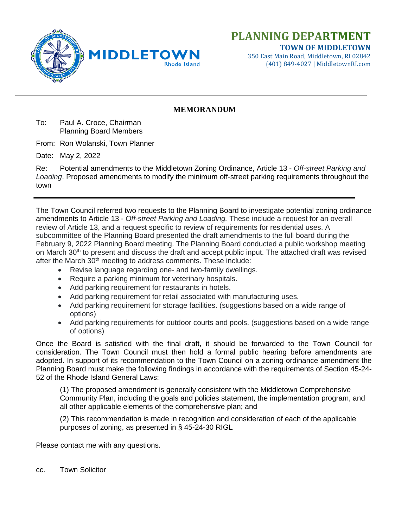

**TOWN OF MIDDLETOWN** 350 East Main Road, Middletown, RI 02842 (401) 849-4027 | MiddletownRI.com

# **MEMORANDUM**

To: Paul A. Croce, Chairman Planning Board Members

From: Ron Wolanski, Town Planner

Date: May 2, 2022

Re: Potential amendments to the Middletown Zoning Ordinance, Article 13 - *Off-street Parking and Loading*. Proposed amendments to modify the minimum off-street parking requirements throughout the town

The Town Council referred two requests to the Planning Board to investigate potential zoning ordinance amendments to Article 13 - *Off-street Parking and Loading.* These include a request for an overall review of Article 13, and a request specific to review of requirements for residential uses. A subcommittee of the Planning Board presented the draft amendments to the full board during the February 9, 2022 Planning Board meeting. The Planning Board conducted a public workshop meeting on March 30<sup>th</sup> to present and discuss the draft and accept public input. The attached draft was revised after the March 30<sup>th</sup> meeting to address comments. These include:

- Revise language regarding one- and two-family dwellings.
- Require a parking minimum for veterinary hospitals.
- Add parking requirement for restaurants in hotels.
- Add parking requirement for retail associated with manufacturing uses.
- Add parking requirement for storage facilities. (suggestions based on a wide range of options)
- Add parking requirements for outdoor courts and pools. (suggestions based on a wide range of options)

Once the Board is satisfied with the final draft, it should be forwarded to the Town Council for consideration. The Town Council must then hold a formal public hearing before amendments are adopted. In support of its recommendation to the Town Council on a zoning ordinance amendment the Planning Board must make the following findings in accordance with the requirements of Section 45-24- 52 of the Rhode Island General Laws:

(1) The proposed amendment is generally consistent with the Middletown Comprehensive Community Plan, including the goals and policies statement, the implementation program, and all other applicable elements of the comprehensive plan; and

(2) This recommendation is made in recognition and consideration of each of the applicable purposes of zoning, as presented in § 45-24-30 RIGL

Please contact me with any questions.

cc. Town Solicitor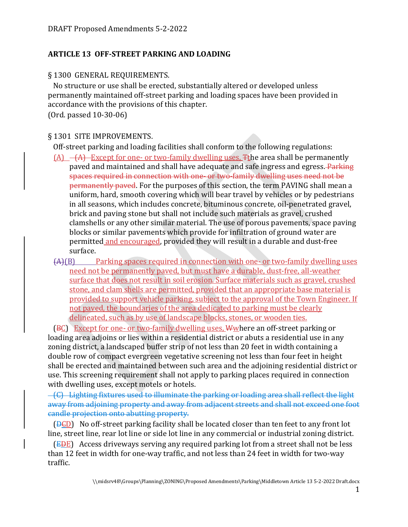# **ARTICLE 13 OFF-STREET PARKING AND LOADING**

### § 1300 GENERAL REQUIREMENTS.

 No structure or use shall be erected, substantially altered or developed unless permanently maintained off-street parking and loading spaces have been provided in accordance with the provisions of this chapter.

(Ord. passed 10-30-06)

### § 1301 SITE IMPROVEMENTS.

Off-street parking and loading facilities shall conform to the following regulations:

- $(A)$   $-A$  Except for one- or two-family dwelling uses, Tthe area shall be permanently paved and maintained and shall have adequate and safe ingress and egress. Parking spaces required in connection with one- or two-family dwelling uses need not be permanently paved. For the purposes of this section, the term PAVING shall mean a uniform, hard, smooth covering which will bear travel by vehicles or by pedestrians in all seasons, which includes concrete, bituminous concrete, oil-penetrated gravel, brick and paving stone but shall not include such materials as gravel, crushed clamshells or any other similar material. The use of porous pavements, space paving blocks or similar pavements which provide for infiltration of ground water are permitted and encouraged, provided they will result in a durable and dust-free surface.
- (A)(B) Parking spaces required in connection with one- or two-family dwelling uses need not be permanently paved, but must have a durable, dust-free, all-weather surface that does not result in soil erosion. Surface materials such as gravel, crushed stone, and clam shells are permitted, provided that an appropriate base material is provided to support vehicle parking, subject to the approval of the Town Engineer. If not paved, the boundaries of the area dedicated to parking must be clearly delineated, such as by use of landscape blocks, stones, or wooden ties.

 (BC) Except for one- or two-family dwelling uses, Wwhere an off-street parking or loading area adjoins or lies within a residential district or abuts a residential use in any zoning district, a landscaped buffer strip of not less than 20 feet in width containing a double row of compact evergreen vegetative screening not less than four feet in height shall be erected and maintained between such area and the adjoining residential district or use. This screening requirement shall not apply to parking places required in connection with dwelling uses, except motels or hotels.

 (C) Lighting fixtures used to illuminate the parking or loading area shall reflect the light away from adjoining property and away from adjacent streets and shall not exceed one foot candle projection onto abutting property.

 $(\overline{PED})$  No off-street parking facility shall be located closer than ten feet to any front lot line, street line, rear lot line or side lot line in any commercial or industrial zoning district.

 (EDE) Access driveways serving any required parking lot from a street shall not be less than 12 feet in width for one-way traffic, and not less than 24 feet in width for two-way traffic.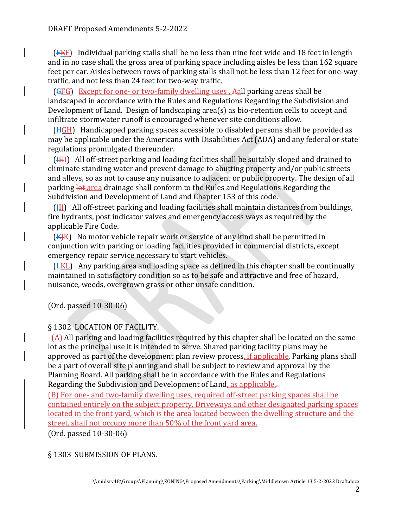(FEF) Individual parking stalls shall be no less than nine feet wide and 18 feet in length and in no case shall the gross area of parking space including aisles be less than 162 square feet per car. Aisles between rows of parking stalls shall not be less than 12 feet for one-way traffic, and not less than 24 feet for two-way traffic.

 (GFG) Except for one- or two-family dwelling uses , Aall parking areas shall be landscaped in accordance with the Rules and Regulations Regarding the Subdivision and Development of Land. Design of landscaping area(s) as bio-retention cells to accept and infiltrate stormwater runoff is encouraged whenever site conditions allow.

 (HGH) Handicapped parking spaces accessible to disabled persons shall be provided as may be applicable under the Americans with Disabilities Act (ADA) and any federal or state regulations promulgated thereunder.

 (IHI) All off-street parking and loading facilities shall be suitably sloped and drained to eliminate standing water and prevent damage to abutting property and/or public streets and alleys, so as not to cause any nuisance to adjacent or public property. The design of all parking lot area drainage shall conform to the Rules and Regulations Regarding the Subdivision and Development of Land and Chapter 153 of this code.

 $(H)$  All off-street parking and loading facilities shall maintain distances from buildings, fire hydrants, post indicator valves and emergency access ways as required by the applicable Fire Code.

 $(KHK)$  No motor vehicle repair work or service of any kind shall be permitted in conjunction with parking or loading facilities provided in commercial districts, except emergency repair service necessary to start vehicles.

 (LKL) Any parking area and loading space as defined in this chapter shall be continually maintained in satisfactory condition so as to be safe and attractive and free of hazard, nuisance, weeds, overgrown grass or other unsafe condition.

(Ord. passed 10-30-06)

# § 1302 LOCATION OF FACILITY.

 (A) All parking and loading facilities required by this chapter shall be located on the same lot as the principal use it is intended to serve. Shared parking facility plans may be approved as part of the development plan review process, if applicable. Parking plans shall be a part of overall site planning and shall be subject to review and approval by the Planning Board. All parking shall be in accordance with the Rules and Regulations Regarding the Subdivision and Development of Land, as applicable..

(B) For one- and two-family dwelling uses, required off-street parking spaces shall be contained entirely on the subject property. Driveways and other designated parking spaces located in the front yard, which is the area located between the dwelling structure and the street, shall not occupy more than 50% of the front yard area.

(Ord. passed 10-30-06)

### § 1303 SUBMISSION OF PLANS.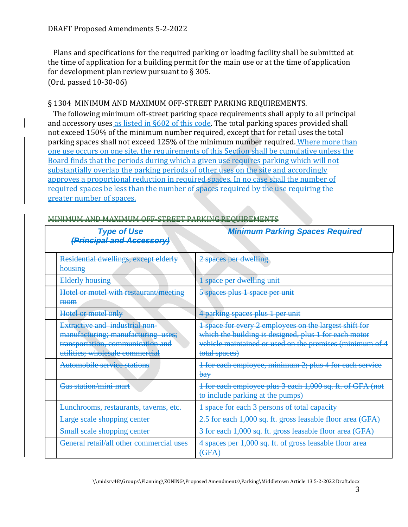Plans and specifications for the required parking or loading facility shall be submitted at the time of application for a building permit for the main use or at the time of application for development plan review pursuant to  $\S 305$ . (Ord. passed 10-30-06)

### § 1304 MINIMUM AND MAXIMUM OFF-STREET PARKING REQUIREMENTS.

 The following minimum off-street parking space requirements shall apply to all principal and accessory uses as listed in §602 of this code. The total parking spaces provided shall not exceed 150% of the minimum number required, except that for retail uses the total parking spaces shall not exceed 125% of the minimum number required. Where more than one use occurs on one site, the requirements of this Section shall be cumulative unless the Board finds that the periods during which a given use requires parking which will not substantially overlap the parking periods of other uses on the site and accordingly approves a proportional reduction in required spaces. In no case shall the number of required spaces be less than the number of spaces required by the use requiring the greater number of spaces.

| <b>Type of Use</b><br>(Principal and Accessory)                                                                                                     | <b>Minimum Parking Spaces Required</b>                                                                                                                                                       |
|-----------------------------------------------------------------------------------------------------------------------------------------------------|----------------------------------------------------------------------------------------------------------------------------------------------------------------------------------------------|
| Residential dwellings, except elderly<br>housing                                                                                                    | 2 spaces per dwelling                                                                                                                                                                        |
| <b>Elderly housing</b>                                                                                                                              | 1 space per dwelling unit                                                                                                                                                                    |
| Hotel or motel with restaurant/meeting<br><b>room</b>                                                                                               | 5 spaces plus 1 space per unit                                                                                                                                                               |
| Hotel or motel only                                                                                                                                 | 4 parking spaces plus 1 per unit                                                                                                                                                             |
| <b>Extractive and industrial non-</b><br>manufacturing; manufacturing uses;<br>transportation, communication and<br>utilities; wholesale commercial | 1 space for every 2 employees on the largest shift for<br>which the building is designed, plus 1 for each motor<br>vehicle maintained or used on the premises (minimum of 4<br>total spaces) |
| Automobile service stations                                                                                                                         | 4 for each employee, minimum 2; plus 4 for each service<br>bay                                                                                                                               |
| Gas station/mini-mart                                                                                                                               | 1 for each employee plus 3 each 1,000 sq. ft. of GFA (not<br>to include parking at the pumps)                                                                                                |
| Lunchrooms, restaurants, taverns, etc.                                                                                                              | 4 space for each 3 persons of total capacity                                                                                                                                                 |
| Large scale shopping center                                                                                                                         | 2.5 for each 1,000 sq. ft. gross leasable floor area (GFA)                                                                                                                                   |
| Small scale shopping center                                                                                                                         | 3 for each 1,000 sq. ft. gross leasable floor area (GFA)                                                                                                                                     |
| General retail/all other commercial uses                                                                                                            | 4 spaces per 1,000 sq. ft. of gross leasable floor area<br>(GFA)                                                                                                                             |

#### MINIMUM AND MAXIMUM OFF-STREET PARKING REQUIREMENTS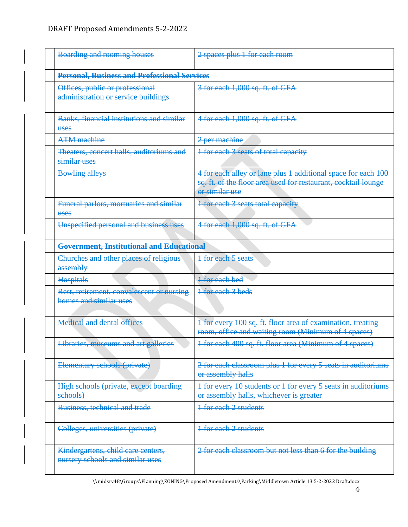|                                                                                 | <b>Boarding and rooming houses</b>                                     | 2 spaces plus 1 for each room                                                                                                                     |
|---------------------------------------------------------------------------------|------------------------------------------------------------------------|---------------------------------------------------------------------------------------------------------------------------------------------------|
|                                                                                 | <b>Personal, Business and Professional Services</b>                    |                                                                                                                                                   |
|                                                                                 | Offices, public or professional<br>administration or service buildings | 3 for each 1,000 sq. ft. of GFA                                                                                                                   |
|                                                                                 | <b>Banks, financial institutions and similar</b><br><b>uses</b>        | 4 for each 1,000 sq. ft. of GFA                                                                                                                   |
|                                                                                 | <b>ATM</b> machine                                                     | 2 per machine                                                                                                                                     |
|                                                                                 | Theaters, concert halls, auditoriums and<br>similar uses               | 1 for each 3 seats of total capacity                                                                                                              |
|                                                                                 | <b>Bowling alleys</b>                                                  | 4 for each alley or lane plus 1 additional space for each 100<br>sq. ft. of the floor area used for restaurant, cocktail lounge<br>or similar use |
|                                                                                 | Funeral parlors, mortuaries and similar<br>uses                        | 1 for each 3 seats total capacity                                                                                                                 |
|                                                                                 | Unspecified personal and business uses                                 | 4 for each 1,000 sq. ft. of GFA                                                                                                                   |
|                                                                                 | Government, Institutional and Educational                              |                                                                                                                                                   |
| Churches and other places of religious<br><b>1 for each 5 seats</b><br>assembly |                                                                        |                                                                                                                                                   |
|                                                                                 | <b>Hospitals</b>                                                       | <b>1</b> for each bed                                                                                                                             |
|                                                                                 | Rest, retirement, convalescent or nursing<br>homes and similar uses    | 1 for each 3 beds                                                                                                                                 |
|                                                                                 | <b>Medical and dental offices</b>                                      | 1 for every 100 sq. ft. floor area of examination, treating<br>room, office and waiting room (Minimum of 4 spaces)                                |
|                                                                                 | Libraries, museums and art galleries                                   | 1 for each 400 sq. ft. floor area (Minimum of 4 spaces)                                                                                           |
|                                                                                 | Elementary schools (private)                                           | 2 for each classroom plus 1 for every 5 seats in auditoriums<br>or assembly halls                                                                 |
|                                                                                 | High schools (private, except boarding<br>schools)                     | 1 for every 10 students or 1 for every 5 seats in auditoriums<br>or assembly halls, whichever is greater                                          |
|                                                                                 | Business, technical and trade                                          | <b>1 for each 2 students</b>                                                                                                                      |
|                                                                                 | Colleges, universities (private)                                       | <b>1 for each 2 students</b>                                                                                                                      |
|                                                                                 | Kindergartens, child care centers,<br>nursery schools and similar uses | 2 for each classroom but not less than 6 for the building                                                                                         |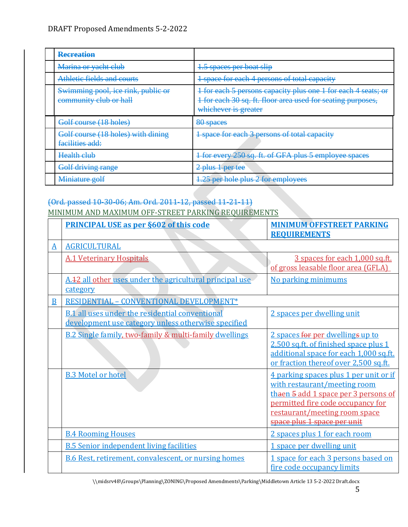| <b>Recreation</b>                                            |                                                                                                                                                      |
|--------------------------------------------------------------|------------------------------------------------------------------------------------------------------------------------------------------------------|
| Marina or yacht club                                         | 1.5 spaces per boat slip                                                                                                                             |
| Athletic fields and courts                                   | 1 space for each 4 persons of total capacity                                                                                                         |
| Swimming pool, ice rink, public or<br>community club or hall | 1 for each 5 persons capacity plus one 1 for each 4 seats; or<br>1 for each 30 sq. ft. floor area used for seating purposes,<br>whichever is greater |
|                                                              |                                                                                                                                                      |
| Golf course (18 holes)                                       | 80 spaces                                                                                                                                            |
| Golf course (18 holes) with dining<br>facilities add:        | 1 space for each 3 persons of total capacity                                                                                                         |
| Health club                                                  | 1 for every 250 sq. ft. of GFA plus 5 employee spaces                                                                                                |
| Golf driving range                                           | 2 plus 1 per tee                                                                                                                                     |

# (Ord. passed 10-30-06; Am. Ord. 2011-12, passed 11-21-11)

### MINIMUM AND MAXIMUM OFF-STREET PARKING REQUIREMENTS

|   | <b>PRINCIPAL USE as per §602 of this code</b>                                                                 | <b>MINIMUM OFFSTREET PARKING</b><br><b>REQUIREMENTS</b>                                                                                                                                                             |
|---|---------------------------------------------------------------------------------------------------------------|---------------------------------------------------------------------------------------------------------------------------------------------------------------------------------------------------------------------|
| A | <b>AGRICULTURAL</b>                                                                                           |                                                                                                                                                                                                                     |
|   | <b>A.1 Veterinary Hospitals</b>                                                                               | 3 spaces for each 1,000 sq.ft.<br>of gross leasable floor area (GFLA)                                                                                                                                               |
|   | A.42 all other uses under the agricultural principal use<br>category                                          | No parking minimums                                                                                                                                                                                                 |
| B | RESIDENTIAL - CONVENTIONAL DEVELOPMENT*                                                                       |                                                                                                                                                                                                                     |
|   | <b>B.1</b> all uses under the residential conventional<br>development use category unless otherwise specified | 2 spaces per dwelling unit                                                                                                                                                                                          |
|   | <b>B.2 Single family, two-family &amp; multi-family dwellings</b>                                             | 2 spaces for per dwellings up to<br>2,500 sq.ft. of finished space plus 1<br>additional space for each 1,000 sq.ft.<br>or fraction thereof over 2,500 sq.ft.                                                        |
|   | <b>B.3 Motel or hotel</b>                                                                                     | 4 parking spaces plus 1 per unit or if<br>with restaurant/meeting room<br>thaen 5 add 1 space per 3 persons of<br>permitted fire code occupancy for<br>restaurant/meeting room space<br>space plus 1 space per unit |
|   | <b>B.4 Rooming Houses</b>                                                                                     | 2 spaces plus 1 for each room                                                                                                                                                                                       |
|   | <b>B.5 Senior independent living facilities</b>                                                               | 1 space per dwelling unit                                                                                                                                                                                           |
|   | <b>B.6 Rest, retirement, convalescent, or nursing homes</b>                                                   | 1 space for each 3 persons based on<br>fire code occupancy limits                                                                                                                                                   |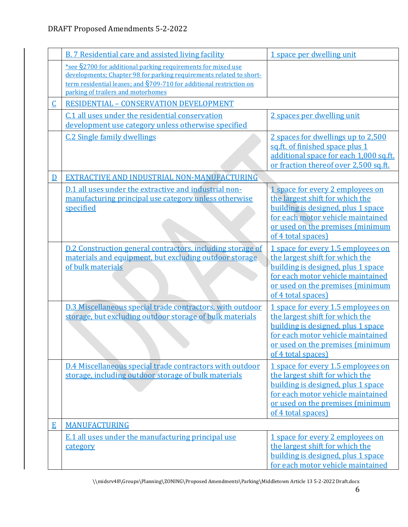|                         | <b>B. 7 Residential care and assisted living facility</b>                                                                                                                                                                                            | 1 space per dwelling unit                                                                                                                                                                                  |
|-------------------------|------------------------------------------------------------------------------------------------------------------------------------------------------------------------------------------------------------------------------------------------------|------------------------------------------------------------------------------------------------------------------------------------------------------------------------------------------------------------|
|                         | *see §2700 for additional parking requirements for mixed use<br>developments; Chapter 98 for parking requirements related to short-<br>term residential leases; and $\S$ 709-710 for additional restriction on<br>parking of trailers and motorhomes |                                                                                                                                                                                                            |
| $\overline{\mathsf{C}}$ | <b>RESIDENTIAL - CONSERVATION DEVELOPMENT</b>                                                                                                                                                                                                        |                                                                                                                                                                                                            |
|                         | C.1 all uses under the residential conservation<br>development use category unless otherwise specified                                                                                                                                               | 2 spaces per dwelling unit                                                                                                                                                                                 |
|                         | <b>C.2 Single family dwellings</b>                                                                                                                                                                                                                   | 2 spaces for dwellings up to 2,500<br>sq.ft. of finished space plus 1<br>additional space for each 1,000 sq.ft.<br>or fraction thereof over 2,500 sq.ft.                                                   |
| $\overline{D}$          | EXTRACTIVE AND INDUSTRIAL NON-MANUFACTURING                                                                                                                                                                                                          |                                                                                                                                                                                                            |
|                         | D.1 all uses under the extractive and industrial non-<br>manufacturing principal use category unless otherwise<br>specified                                                                                                                          | 1 space for every 2 employees on<br>the largest shift for which the<br>building is designed, plus 1 space<br>for each motor vehicle maintained<br>or used on the premises (minimum<br>of 4 total spaces)   |
|                         | D.2 Construction general contractors, including storage of<br>materials and equipment, but excluding outdoor storage<br>of bulk materials                                                                                                            | 1 space for every 1.5 employees on<br>the largest shift for which the<br>building is designed, plus 1 space<br>for each motor vehicle maintained<br>or used on the premises (minimum<br>of 4 total spaces) |
|                         | D.3 Miscellaneous special trade contractors, with outdoor<br>storage, but excluding outdoor storage of bulk materials                                                                                                                                | 1 space for every 1.5 employees on<br>the largest shift for which the<br>building is designed, plus 1 space<br>for each motor vehicle maintained<br>or used on the premises (minimum<br>of 4 total spaces) |
|                         | D.4 Miscellaneous special trade contractors with outdoor<br>storage, including outdoor storage of bulk materials                                                                                                                                     | 1 space for every 1.5 employees on<br>the largest shift for which the<br>building is designed, plus 1 space<br>for each motor vehicle maintained<br>or used on the premises (minimum<br>of 4 total spaces) |
| E                       | <b>MANUFACTURING</b>                                                                                                                                                                                                                                 |                                                                                                                                                                                                            |
|                         | E.1 all uses under the manufacturing principal use<br>category                                                                                                                                                                                       | 1 space for every 2 employees on<br>the largest shift for which the<br>building is designed, plus 1 space<br>for each motor vehicle maintained                                                             |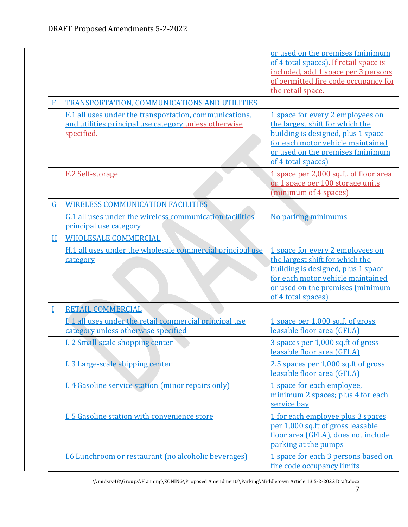|                |                                                                                                                               | or used on the premises (minimum<br>of 4 total spaces). If retail space is<br>included, add 1 space per 3 persons<br>of permitted fire code occupancy for<br>the retail space.                           |
|----------------|-------------------------------------------------------------------------------------------------------------------------------|----------------------------------------------------------------------------------------------------------------------------------------------------------------------------------------------------------|
| $\mathbf{F}$   | TRANSPORTATION, COMMUNICATIONS AND UTILITIES                                                                                  |                                                                                                                                                                                                          |
|                | F.1 all uses under the transportation, communications,<br>and utilities principal use category unless otherwise<br>specified. | 1 space for every 2 employees on<br>the largest shift for which the<br>building is designed, plus 1 space<br>for each motor vehicle maintained<br>or used on the premises (minimum<br>of 4 total spaces) |
|                | F.2 Self-storage                                                                                                              | 1 space per 2,000 sq.ft. of floor area<br>or 1 space per 100 storage units<br>(minimum of 4 spaces)                                                                                                      |
| $\overline{G}$ | <b>WIRELESS COMMUNICATION FACILITIES</b>                                                                                      |                                                                                                                                                                                                          |
|                | G.1 all uses under the wireless communication facilities<br>principal use category                                            | No parking minimums                                                                                                                                                                                      |
| H              | <b>WHOLESALE COMMERCIAL</b>                                                                                                   |                                                                                                                                                                                                          |
|                | H.1 all uses under the wholesale commercial principal use<br>category                                                         | 1 space for every 2 employees on<br>the largest shift for which the<br>building is designed, plus 1 space<br>for each motor vehicle maintained<br>or used on the premises (minimum<br>of 4 total spaces) |
| Ī              | <b>RETAIL COMMERCIAL</b>                                                                                                      |                                                                                                                                                                                                          |
|                | I. 1 all uses under the retail commercial principal use<br>category unless otherwise specified                                | 1 space per 1,000 sq.ft of gross<br>leasable floor area (GFLA)                                                                                                                                           |
|                | I. 2 Small-scale shopping center                                                                                              | 3 spaces per 1,000 sq.ft of gross<br>leasable floor area (GFLA)                                                                                                                                          |
|                | I. 3 Large-scale shipping center                                                                                              | 2.5 spaces per 1,000 sq.ft of gross<br>leasable floor area (GFLA)                                                                                                                                        |
|                | <b>I. 4 Gasoline service station (minor repairs only)</b>                                                                     | 1 space for each employee,<br>minimum 2 spaces; plus 4 for each<br>service bay                                                                                                                           |
|                | I. 5 Gasoline station with convenience store                                                                                  | 1 for each employee plus 3 spaces<br>per 1,000 sq.ft of gross leasable<br>floor area (GFLA), does not include<br>parking at the pumps                                                                    |
|                | <b>I.6 Lunchroom or restaurant (no alcoholic beverages)</b>                                                                   | 1 space for each 3 persons based on<br>fire code occupancy limits                                                                                                                                        |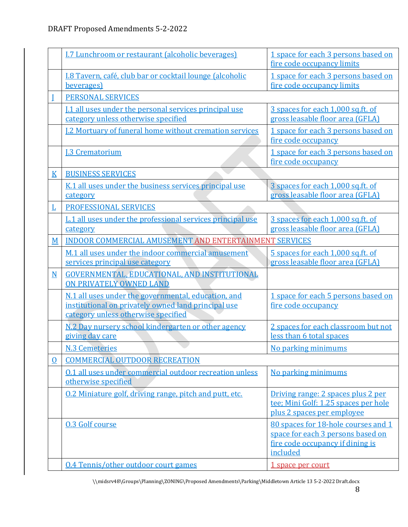|                          | I.7 Lunchroom or restaurant (alcoholic beverages)                                                                                                 | 1 space for each 3 persons based on<br>fire code occupancy limits                                                        |
|--------------------------|---------------------------------------------------------------------------------------------------------------------------------------------------|--------------------------------------------------------------------------------------------------------------------------|
|                          | I.8 Tavern, café, club bar or cocktail lounge (alcoholic<br>beverages)                                                                            | 1 space for each 3 persons based on<br>fire code occupancy limits                                                        |
|                          | <b>PERSONAL SERVICES</b>                                                                                                                          |                                                                                                                          |
|                          | [.1 all uses under the personal services principal use<br>category unless otherwise specified                                                     | 3 spaces for each 1,000 sq.ft. of<br>gross leasable floor area (GFLA)                                                    |
|                          | <b>I.2 Mortuary of funeral home without cremation services</b>                                                                                    | 1 space for each 3 persons based on<br>fire code occupancy                                                               |
|                          | <b>I.3 Crematorium</b>                                                                                                                            | 1 space for each 3 persons based on<br>fire code occupancy                                                               |
| $\underline{\mathbf{K}}$ | <b>BUSINESS SERVICES</b>                                                                                                                          |                                                                                                                          |
|                          | K.1 all uses under the business services principal use<br>category                                                                                | 3 spaces for each 1,000 sq.ft. of<br>gross leasable floor area (GFLA)                                                    |
| Ŀ                        | PROFESSIONAL SERVICES                                                                                                                             |                                                                                                                          |
|                          | L.1 all uses under the professional services principal use<br>category                                                                            | 3 spaces for each 1,000 sq.ft. of<br>gross leasable floor area (GFLA)                                                    |
| M                        | <b>INDOOR COMMERCIAL AMUSEMENT AND ENTERTAINMENT SERVICES</b>                                                                                     |                                                                                                                          |
|                          | M.1 all uses under the indoor commercial amusement<br>services principal use category                                                             | 5 spaces for each 1,000 sq.ft. of<br>gross leasable floor area (GFLA)                                                    |
| $\overline{\mathbf{N}}$  | GOVERNMENTAL, EDUCATIONAL, AND INSTITUTIONAL<br>ON PRIVATELY OWNED LAND                                                                           |                                                                                                                          |
|                          | N.1 all uses under the governmental, education, and<br>institutional on privately owned land principal use<br>category unless otherwise specified | 1 space for each 5 persons based on<br>fire code occupancy                                                               |
|                          | N.2 Day nursery school kindergarten or other agency<br>giving day care                                                                            | 2 spaces for each classroom but not<br>less than 6 total spaces                                                          |
|                          | N.3 Cemeteries                                                                                                                                    | No parking minimums                                                                                                      |
| $\Omega$                 | <b>COMMERCIAL OUTDOOR RECREATION</b>                                                                                                              |                                                                                                                          |
|                          | 0.1 all uses under commercial outdoor recreation unless<br>otherwise specified                                                                    | No parking minimums                                                                                                      |
|                          | 0.2 Miniature golf, driving range, pitch and putt, etc.                                                                                           | Driving range: 2 spaces plus 2 per<br>tee; Mini Golf: 1.25 spaces per hole<br>plus 2 spaces per employee                 |
|                          | <b>0.3 Golf course</b>                                                                                                                            | 80 spaces for 18-hole courses and 1<br>space for each 3 persons based on<br>fire code occupancy if dining is<br>included |
|                          | 0.4 Tennis/other outdoor court games                                                                                                              | <u>1 space per court</u>                                                                                                 |